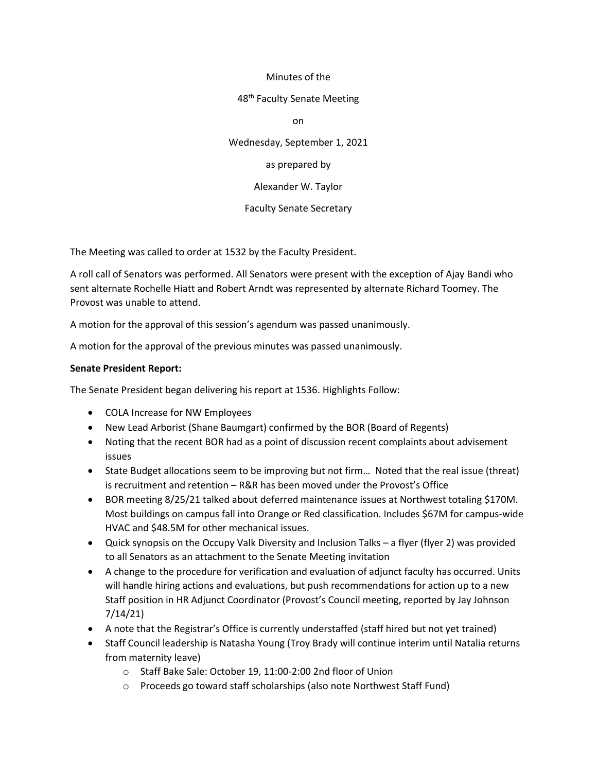### Minutes of the

#### 48<sup>th</sup> Faculty Senate Meeting

on

Wednesday, September 1, 2021

as prepared by

Alexander W. Taylor

Faculty Senate Secretary

The Meeting was called to order at 1532 by the Faculty President.

A roll call of Senators was performed. All Senators were present with the exception of Ajay Bandi who sent alternate Rochelle Hiatt and Robert Arndt was represented by alternate Richard Toomey. The Provost was unable to attend.

A motion for the approval of this session's agendum was passed unanimously.

A motion for the approval of the previous minutes was passed unanimously.

## **Senate President Report:**

The Senate President began delivering his report at 1536. Highlights Follow:

- COLA Increase for NW Employees
- New Lead Arborist (Shane Baumgart) confirmed by the BOR (Board of Regents)
- Noting that the recent BOR had as a point of discussion recent complaints about advisement issues
- State Budget allocations seem to be improving but not firm... Noted that the real issue (threat) is recruitment and retention – R&R has been moved under the Provost's Office
- BOR meeting 8/25/21 talked about deferred maintenance issues at Northwest totaling \$170M. Most buildings on campus fall into Orange or Red classification. Includes \$67M for campus-wide HVAC and \$48.5M for other mechanical issues.
- Quick synopsis on the Occupy Valk Diversity and Inclusion Talks a flyer (flyer 2) was provided to all Senators as an attachment to the Senate Meeting invitation
- A change to the procedure for verification and evaluation of adjunct faculty has occurred. Units will handle hiring actions and evaluations, but push recommendations for action up to a new Staff position in HR Adjunct Coordinator (Provost's Council meeting, reported by Jay Johnson 7/14/21)
- A note that the Registrar's Office is currently understaffed (staff hired but not yet trained)
- Staff Council leadership is Natasha Young (Troy Brady will continue interim until Natalia returns from maternity leave)
	- o Staff Bake Sale: October 19, 11:00-2:00 2nd floor of Union
	- o Proceeds go toward staff scholarships (also note Northwest Staff Fund)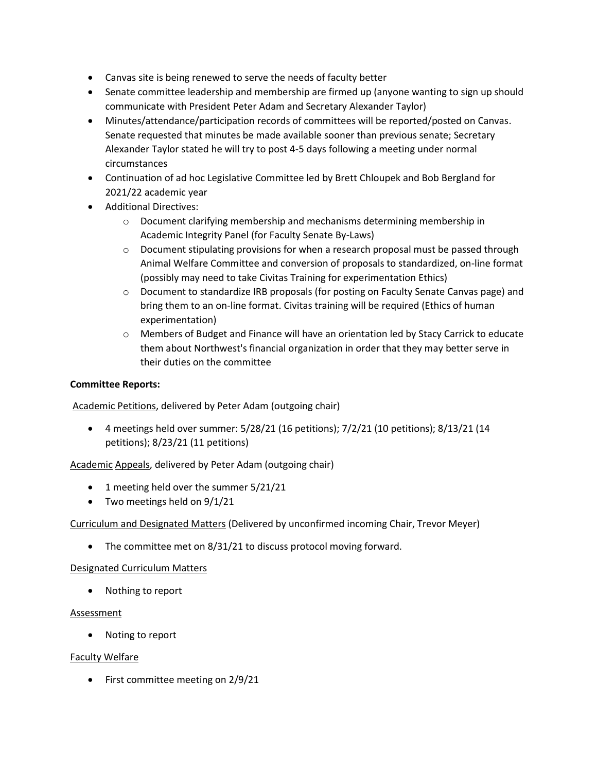- Canvas site is being renewed to serve the needs of faculty better
- Senate committee leadership and membership are firmed up (anyone wanting to sign up should communicate with President Peter Adam and Secretary Alexander Taylor)
- Minutes/attendance/participation records of committees will be reported/posted on Canvas. Senate requested that minutes be made available sooner than previous senate; Secretary Alexander Taylor stated he will try to post 4-5 days following a meeting under normal circumstances
- Continuation of ad hoc Legislative Committee led by Brett Chloupek and Bob Bergland for 2021/22 academic year
- Additional Directives:
	- $\circ$  Document clarifying membership and mechanisms determining membership in Academic Integrity Panel (for Faculty Senate By-Laws)
	- $\circ$  Document stipulating provisions for when a research proposal must be passed through Animal Welfare Committee and conversion of proposals to standardized, on-line format (possibly may need to take Civitas Training for experimentation Ethics)
	- o Document to standardize IRB proposals (for posting on Faculty Senate Canvas page) and bring them to an on-line format. Civitas training will be required (Ethics of human experimentation)
	- o Members of Budget and Finance will have an orientation led by Stacy Carrick to educate them about Northwest's financial organization in order that they may better serve in their duties on the committee

### **Committee Reports:**

Academic Petitions, delivered by Peter Adam (outgoing chair)

• 4 meetings held over summer:  $5/28/21$  (16 petitions);  $7/2/21$  (10 petitions);  $8/13/21$  (14 petitions); 8/23/21 (11 petitions)

Academic Appeals, delivered by Peter Adam (outgoing chair)

- 1 meeting held over the summer 5/21/21
- Two meetings held on 9/1/21

#### Curriculum and Designated Matters (Delivered by unconfirmed incoming Chair, Trevor Meyer)

• The committee met on 8/31/21 to discuss protocol moving forward.

#### Designated Curriculum Matters

• Nothing to report

#### Assessment

• Noting to report

#### Faculty Welfare

• First committee meeting on 2/9/21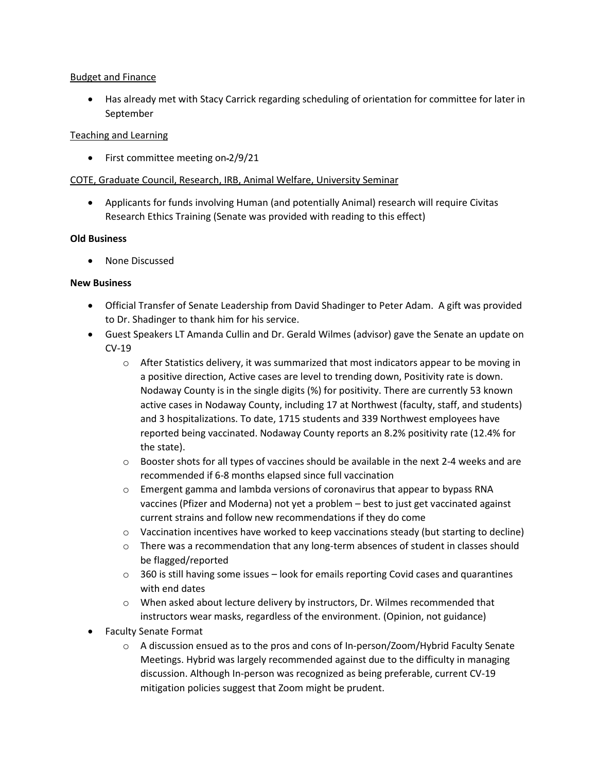### Budget and Finance

• Has already met with Stacy Carrick regarding scheduling of orientation for committee for later in September

## Teaching and Learning

• First committee meeting on-2/9/21

# COTE, Graduate Council, Research, IRB, Animal Welfare, University Seminar

• Applicants for funds involving Human (and potentially Animal) research will require Civitas Research Ethics Training (Senate was provided with reading to this effect)

## **Old Business**

• None Discussed

## **New Business**

- Official Transfer of Senate Leadership from David Shadinger to Peter Adam. A gift was provided to Dr. Shadinger to thank him for his service.
- Guest Speakers LT Amanda Cullin and Dr. Gerald Wilmes (advisor) gave the Senate an update on CV-19
	- $\circ$  After Statistics delivery, it was summarized that most indicators appear to be moving in a positive direction, Active cases are level to trending down, Positivity rate is down. Nodaway County is in the single digits (%) for positivity. There are currently 53 known active cases in Nodaway County, including 17 at Northwest (faculty, staff, and students) and 3 hospitalizations. To date, 1715 students and 339 Northwest employees have reported being vaccinated. Nodaway County reports an 8.2% positivity rate (12.4% for the state).
	- $\circ$  Booster shots for all types of vaccines should be available in the next 2-4 weeks and are recommended if 6-8 months elapsed since full vaccination
	- $\circ$  Emergent gamma and lambda versions of coronavirus that appear to bypass RNA vaccines (Pfizer and Moderna) not yet a problem – best to just get vaccinated against current strains and follow new recommendations if they do come
	- $\circ$  Vaccination incentives have worked to keep vaccinations steady (but starting to decline)
	- $\circ$  There was a recommendation that any long-term absences of student in classes should be flagged/reported
	- $\circ$  360 is still having some issues look for emails reporting Covid cases and quarantines with end dates
	- o When asked about lecture delivery by instructors, Dr. Wilmes recommended that instructors wear masks, regardless of the environment. (Opinion, not guidance)
- Faculty Senate Format
	- $\circ$  A discussion ensued as to the pros and cons of In-person/Zoom/Hybrid Faculty Senate Meetings. Hybrid was largely recommended against due to the difficulty in managing discussion. Although In-person was recognized as being preferable, current CV-19 mitigation policies suggest that Zoom might be prudent.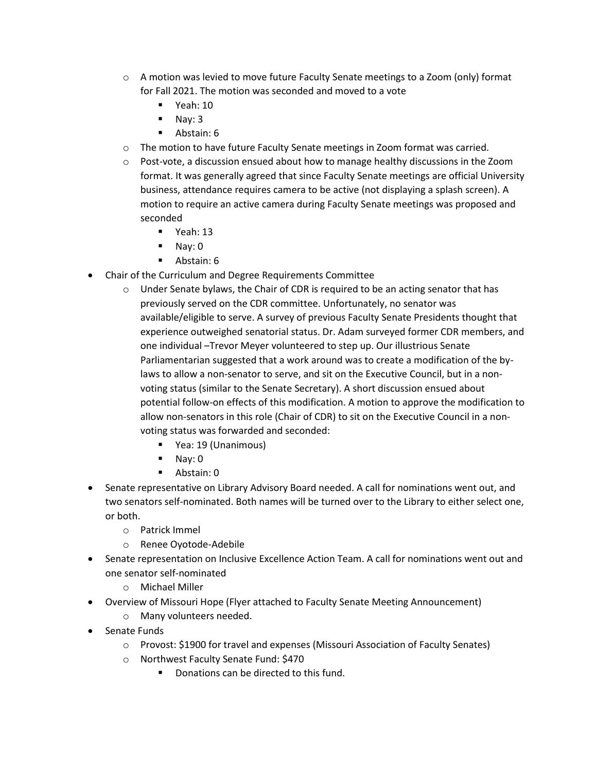- $\circ$  A motion was levied to move future Faculty Senate meetings to a Zoom (only) format for Fall 2021. The motion was seconded and moved to a vote
	- $\blacksquare$  Yeah: 10
	- Nay: 3
	- Abstain: 6
- o The motion to have future Faculty Senate meetings in Zoom format was carried.
- $\circ$  Post-vote, a discussion ensued about how to manage healthy discussions in the Zoom format. It was generally agreed that since Faculty Senate meetings are official University business, attendance requires camera to be active (not displaying a splash screen). A motion to require an active camera during Faculty Senate meetings was proposed and seconded
	- Yeah: 13
	- Nay: 0
	- Abstain: 6
- Chair of the Curriculum and Degree Requirements Committee
	- $\circ$  Under Senate bylaws, the Chair of CDR is required to be an acting senator that has previously served on the CDR committee. Unfortunately, no senator was available/eligible to serve. A survey of previous Faculty Senate Presidents thought that experience outweighed senatorial status. Dr. Adam surveyed former CDR members, and one individual –Trevor Meyer volunteered to step up. Our illustrious Senate Parliamentarian suggested that a work around was to create a modification of the bylaws to allow a non-senator to serve, and sit on the Executive Council, but in a nonvoting status (similar to the Senate Secretary). A short discussion ensued about potential follow-on effects of this modification. A motion to approve the modification to allow non-senators in this role (Chair of CDR) to sit on the Executive Council in a nonvoting status was forwarded and seconded:
		- Yea: 19 (Unanimous)
		- Nay: 0
		- Abstain: 0
- Senate representative on Library Advisory Board needed. A call for nominations went out, and two senators self-nominated. Both names will be turned over to the Library to either select one, or both.
	- o Patrick Immel
	- o Renee Oyotode-Adebile
- Senate representation on Inclusive Excellence Action Team. A call for nominations went out and one senator self-nominated
	- o Michael Miller
- Overview of Missouri Hope (Flyer attached to Faculty Senate Meeting Announcement)
	- o Many volunteers needed.
- Senate Funds
	- o Provost: \$1900 for travel and expenses (Missouri Association of Faculty Senates)
	- o Northwest Faculty Senate Fund: \$470
		- Donations can be directed to this fund.